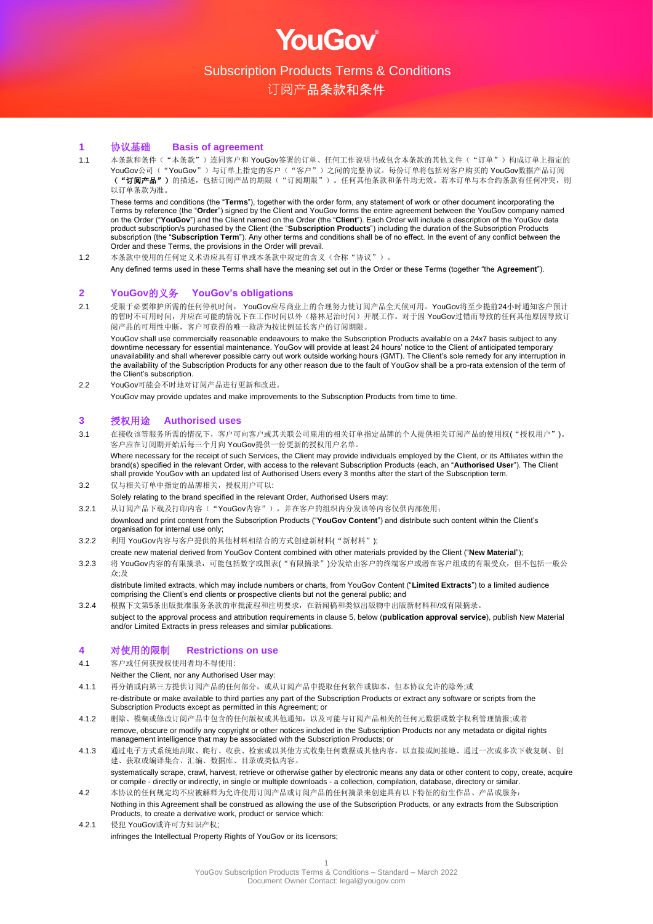

订阅产品条款和条件

#### **1** 协议基础 **Basis of agreement**

1.1 本条款和条件("本条款")连同客户和 YouGov签署的订单、任何工作说明书或包含本条款的其他文件("订单")构成订单上指定的 YouGov公司("YouGov")与订单上指定的客户("客户")之间的完整协议。每份订单将包括对客户购买的 YouGov数据产品订阅 ("订阅产品")的描述,包括订阅产品的期限("订阅期限")。任何其他条款和条件均无效。若本订单与本合约条款有任何冲突,则 以订单条款为准。

These terms and conditions (the "**Terms**"), together with the order form, any statement of work or other document incorporating the Terms by reference (the "**Order**") signed by the Client and YouGov forms the entire agreement between the YouGov company named on the Order ("**YouGov**") and the Client named on the Order (the "**Client**"). Each Order will include a description of the YouGov data product subscription/s purchased by the Client (the "**Subscription Products**") including the duration of the Subscription Products subscription (the "**Subscription Term**"). Any other terms and conditions shall be of no effect. In the event of any conflict between the Order and these Terms, the provisions in the Order will prevail.

1.2 本条款中使用的任何定义术语应具有订单或本条款中规定的含义(合称"协议")。

Any defined terms used in these Terms shall have the meaning set out in the Order or these Terms (together "the **Agreement**").

#### **2 YouGov**的义务 **YouGov's obligations**

2.1 受限于必要维护所需的任何停机时间, YouGov应尽商业上的合理努力使订阅产品全天候可用。YouGov将至少提前24小时通知客户预计 的暂时不可用时间,并应在可能的情况下在工作时间以外(格林尼治时间)开展工作。对于因 YouGov过错而导致的任何其他原因导致订 阅产品的可用性中断,客户可获得的唯一救济为按比例延长客户的订阅期限。

YouGov shall use commercially reasonable endeavours to make the Subscription Products available on a 24x7 basis subject to any downtime necessary for essential maintenance. YouGov will provide at least 24 hours' notice to the Client of anticipated temporary unavailability and shall wherever possible carry out work outside working hours (GMT). The Client's sole remedy for any interruption in the availability of the Subscription Products for any other reason due to the fault of YouGov shall be a pro-rata extension of the term of the Client's subscription.

2.2 YouGov可能会不时地对订阅产品进行更新和改进。 YouGov may provide updates and make improvements to the Subscription Products from time to time.

#### **3** 授权用途 **Authorised uses**

3.1 在接收该等服务所需的情况下,客户可向客户或其关联公司雇用的相关订单指定品牌的个人提供相关订阅产品的使用权("授权用户")。 客户应在订阅期开始后每三个月向 YouGov提供一份更新的授权用户名单。

Where necessary for the receipt of such Services, the Client may provide individuals employed by the Client, or its Affiliates within the brand(s) specified in the relevant Order, with access to the relevant Subscription Products (each, an "**Authorised User**"). The Client shall provide YouGov with an updated list of Authorised Users every 3 months after the start of the Subscription term. 3.2 仅与相关订单中指定的品牌相关,授权用户可以:

- Solely relating to the brand specified in the relevant Order, Authorised Users may:
- 3.2.1 从订阅产品下载及打印内容("YouGov内容"),并在客户的组织内分发该等内容仅供内部使用;

download and print content from the Subscription Products ("**YouGov Content**") and distribute such content within the Client's organisation for internal use only;

- 3.2.2 利用 YouGov内容与客户提供的其他材料相结合的方式创建新材料("新材料");
- create new material derived from YouGov Content combined with other materials provided by the Client ("**New Material**"); 3.2.3 将 YouGov内容的有限摘录,可能包括数字或图表("有限摘录")分发给由客户的终端客户或潜在客户组成的有限受众,但不包括一般公 众;及

distribute limited extracts, which may include numbers or charts, from YouGov Content ("**Limited Extracts**") to a limited audience comprising the Client's end clients or prospective clients but not the general public; and

3.2.4 根据下文第5条出版批准服务条款的审批流程和注明要求,在新闻稿和类似出版物中出版新材料和/或有限摘录。 subject to the approval process and attribution requirements in clause 5, below (**publication approval service**), publish New Material and/or Limited Extracts in press releases and similar publications.

#### **4** 对使用的限制 **Restrictions on use**

4.1 客户或任何获授权使用者均不得使用:

Neither the Client, nor any Authorised User may:

- 4.1.1 再分销或向第三方提供订阅产品的任何部分,或从订阅产品中提取任何软件或脚本,但本协议允许的除外;或 re-distribute or make available to third parties any part of the Subscription Products or extract any software or scripts from the Subscription Products except as permitted in this Agreement; or
- 4.1.2 删除、模糊或修改订阅产品中包含的任何版权或其他通知,以及可能与订阅产品相关的任何元数据或数字权利管理情报;或者 remove, obscure or modify any copyright or other notices included in the Subscription Products nor any metadata or digital rights management intelligence that may be associated with the Subscription Products; or
- 4.1.3 通过电子方式系统地刮取、爬行、收获、检索或以其他方式收集任何数据或其他内容,以直接或间接地、通过一次或多次下载复制、创 建、获取或编译集合、汇编、数据库、目录或类似内容。 systematically scrape, crawl, harvest, retrieve or otherwise gather by electronic means any data or other content to copy, create, acquire
- or compile directly or indirectly, in single or multiple downloads a collection, compilation, database, directory or similar. 4.2 本协议的任何规定均不应被解释为允许使用订阅产品或订阅产品的任何摘录来创建具有以下特征的衍生作品、产品或服务:
- Nothing in this Agreement shall be construed as allowing the use of the Subscription Products, or any extracts from the Subscription Products, to create a derivative work, product or service which:
- 4.2.1 侵犯 YouGov或许可方知识产权; infringes the Intellectual Property Rights of YouGov or its licensors;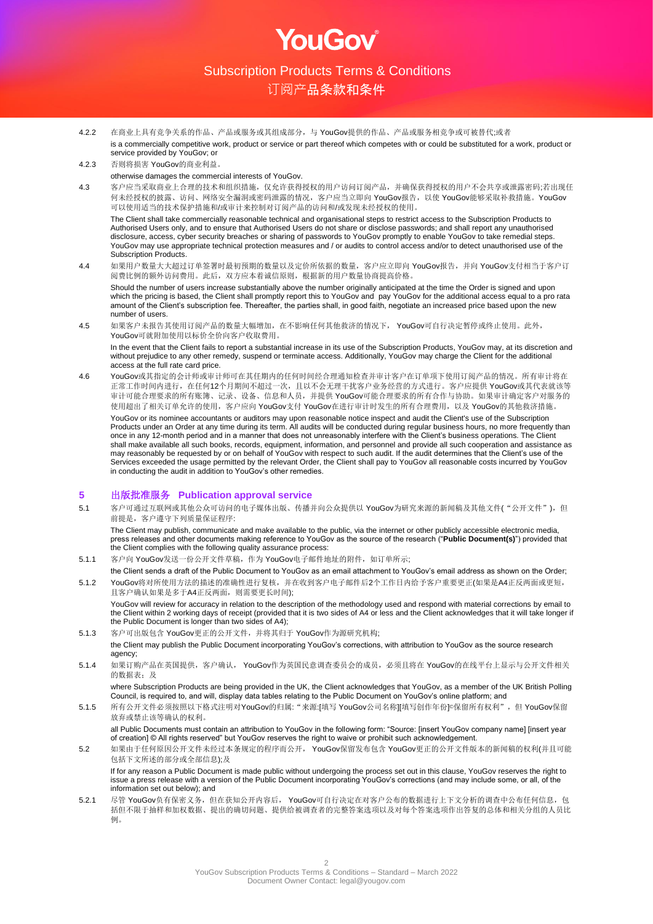**OULGOV** 

## 订阅产品条款和条件

- 4.2.2 在商业上具有竞争关系的作品、产品或服务或其组成部分,与 YouGov提供的作品、产品或服务相竞争或可被替代;或者 is a commercially competitive work, product or service or part thereof which competes with or could be substituted for a work, product or service provided by YouGov; or
- 4.2.3 否则将损害 YouGov的商业利益。

#### otherwise damages the commercial interests of YouGov.

4.3 客户应当采取商业上合理的技术和组织措施,仅允许获得授权的用户访问订阅产品,并确保获得授权的用户不会共享或泄露密码;若出现任 何未经授权的披露、访问、网络安全漏洞或密码泄露的情况,客户应当立即向 YouGov报告, 以使 YouGov能够采取补救措施。YouGov 可以使用适当的技术保护措施和/或审计来控制对订阅产品的访问和/或发现未经授权的使用。

The Client shall take commercially reasonable technical and organisational steps to restrict access to the Subscription Products to Authorised Users only, and to ensure that Authorised Users do not share or disclose passwords; and shall report any unauthorised disclosure, access, cyber security breaches or sharing of passwords to YouGov promptly to enable YouGov to take remedial steps. YouGov may use appropriate technical protection measures and / or audits to control access and/or to detect unauthorised use of the Subscription Products.

4.4 如果用户数量大大超过订单签署时最初预期的数量以及定价所依据的数量,客户应立即向 YouGov报告,并向 YouGov支付相当于客户订 阅费比例的额外访问费用。此后,双方应本着诚信原则,根据新的用户数量协商提高价格。

Should the number of users increase substantially above the number originally anticipated at the time the Order is signed and upon which the pricing is based, the Client shall promptly report this to YouGov and pay YouGov for the additional access equal to a pro rata amount of the Client's subscription fee. Thereafter, the parties shall, in good faith, negotiate an increased price based upon the new number of users.

4.5 如果客户未报告其使用订阅产品的数量大幅增加,在不影响任何其他救济的情况下, YouGov可自行决定暂停或终止使用。此外, YouGov可就附加使用以标价全价向客户收取费用。

In the event that the Client fails to report a substantial increase in its use of the Subscription Products, YouGov may, at its discretion and without prejudice to any other remedy, suspend or terminate access. Additionally, YouGov may charge the Client for the additional access at the full rate card price.

4.6 YouGov或其指定的会计师或审计师可在其任期内的任何时间经合理通知检查并审计客户在订单项下使用订阅产品的情况。所有审计将在 正常工作时间内进行,在任何12个月期间不超过一次,且以不会无理干扰客户业务经营的方式进行。客户应提供 YouGov或其代表就该等 审计可能合理要求的所有账簿、记录、设备、信息和人员,并提供 YouGov可能合理要求的所有合作与协助。如果审计确定客户对服务的 使用超出了相关订单允许的使用,客户应向 YouGov支付 YouGov在进行审计时发生的所有合理费用, 以及 YouGov的其他救济措施。

YouGov or its nominee accountants or auditors may upon reasonable notice inspect and audit the Client's use of the Subscription Products under an Order at any time during its term. All audits will be conducted during regular business hours, no more frequently than once in any 12-month period and in a manner that does not unreasonably interfere with the Client's business operations. The Client shall make available all such books, records, equipment, information, and personnel and provide all such cooperation and assistance as may reasonably be requested by or on behalf of YouGov with respect to such audit. If the audit determines that the Client's use of the Services exceeded the usage permitted by the relevant Order, the Client shall pay to YouGov all reasonable costs incurred by YouGov in conducting the audit in addition to YouGov's other remedies.

#### **5** 出版批准服务 **Publication approval service**

5.1 客户可通过互联网或其他公众可访问的电子媒体出版、传播并向公众提供以 YouGov为研究来源的新闻稿及其他文件("公开文件"), 但 前提是,客户遵守下列质量保证程序:

The Client may publish, communicate and make available to the public, via the internet or other publicly accessible electronic media, press releases and other documents making reference to YouGov as the source of the research ("**Public Document(s)**") provided that the Client complies with the following quality assurance process:

- 5.1.1 客户向 YouGov发送一份公开文件草稿, 作为 YouGov电子邮件地址的附件, 如订单所示;
- the Client sends a draft of the Public Document to YouGov as an email attachment to YouGov's email address as shown on the Order; 5.1.2 YouGov将对所使用方法的描述的准确性进行复核,并在收到客户电子邮件后2个工作日内给予客户重要更正(如果是A4正反两面或更短, 且客户确认如果是多于A4正反两面,则需要更长时间);

YouGov will review for accuracy in relation to the description of the methodology used and respond with material corrections by email to the Client within 2 working days of receipt (provided that it is two sides of A4 or less and the Client acknowledges that it will take longer if the Public Document is longer than two sides of A4);

- 5.1.3 客户可出版包含 YouGov更正的公开文件,并将其归于 YouGov作为源研究机构;
- the Client may publish the Public Document incorporating YouGov's corrections, with attribution to YouGov as the source research agency;
- 5.1.4 如果订购产品在英国提供, 客户确认, YouGov作为英国民意调查委员会的成员, 必须且将在 YouGov的在线平台上显示与公开文件相关 的数据表: 及

where Subscription Products are being provided in the UK, the Client acknowledges that YouGov, as a member of the UK British Polling Council, is required to, and will, display data tables relating to the Public Document on YouGov's online platform; and

5.1.5 所有公开文件必须按照以下格式注明对YouGov的归属: "来源:[填写 YouGov公司名称][填写创作年份]©保留所有权利",但 YouGov保留 放弃或禁止该等确认的权利。

all Public Documents must contain an attribution to YouGov in the following form: "Source: [insert YouGov company name] [insert year of creation] © All rights reserved" but YouGov reserves the right to waive or prohibit such acknowledgement.

5.2 如果由于任何原因公开文件未经过本条规定的程序而公开, YouGov保留发布包含 YouGov更正的公开文件版本的新闻稿的权利(并且可能 包括下文所述的部分或全部信息);及

If for any reason a Public Document is made public without undergoing the process set out in this clause, YouGov reserves the right to issue a press release with a version of the Public Document incorporating YouGov's corrections (and may include some, or all, of the information set out below); and

5.2.1 尽管 YouGov负有保密义务,但在获知公开内容后, YouGov可自行决定在对客户公布的数据进行上下文分析的调查中公布任何信息,包 括但不限于抽样和加权数据、提出的确切问题、提供给被调查者的完整答案选项以及对每个答案选项作出答复的总体和相关分组的人员比 例。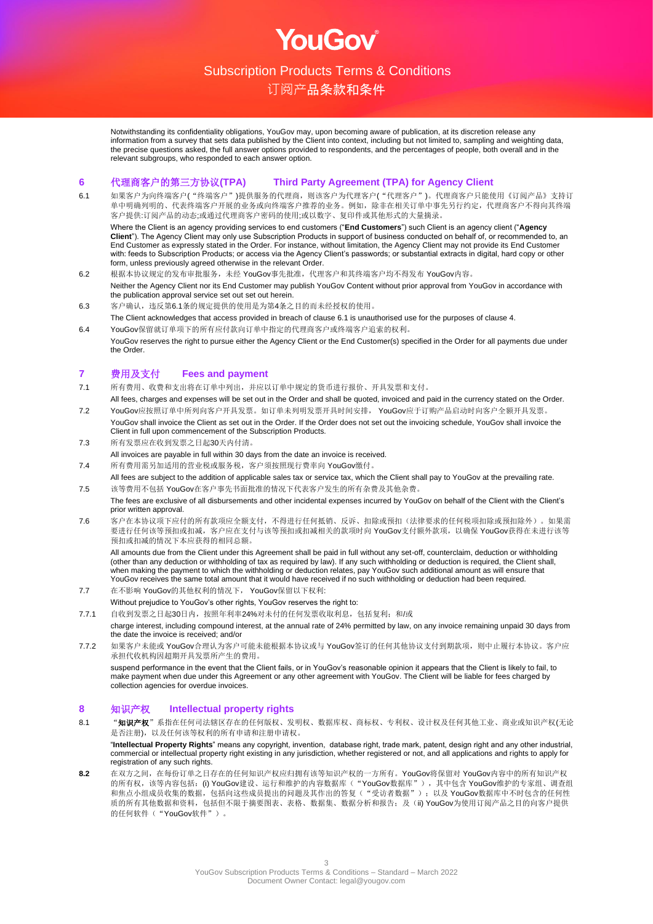OUGOV

## 订阅产品条款和条件

Notwithstanding its confidentiality obligations, YouGov may, upon becoming aware of publication, at its discretion release any information from a survey that sets data published by the Client into context, including but not limited to, sampling and weighting data, the precise questions asked, the full answer options provided to respondents, and the percentages of people, both overall and in the relevant subgroups, who responded to each answer option.

#### **6** 代理商客户的第三方协议**(TPA) Third Party Agreement (TPA) for Agency Client**

6.1 如果客户为向终端客户("终端客户")提供服务的代理商,则该客户为代理客户("代理客户")。代理商客户只能使用《订阅产品》支持订 单中明确列明的、代表终端客户开展的业务或向终端客户推荐的业务。例如,除非在相关订单中事先另行约定,代理商客户不得向其终端 客户提供:订阅产品的动态;或通过代理商客户密码的使用;或以数字、复印件或其他形式的大量摘录。

Where the Client is an agency providing services to end customers ("**End Customers**") such Client is an agency client ("**Agency Client**"). The Agency Client may only use Subscription Products in support of business conducted on behalf of, or recommended to, an End Customer as expressly stated in the Order. For instance, without limitation, the Agency Client may not provide its End Customer with: feeds to Subscription Products; or access via the Agency Client's passwords; or substantial extracts in digital, hard copy or other form, unless previously agreed otherwise in the relevant Order.

- 6.2 根据本协议规定的发布审批服务,未经 YouGov事先批准,代理客户和其终端客户均不得发布 YouGov内容。 Neither the Agency Client nor its End Customer may publish YouGov Content without prior approval from YouGov in accordance with the publication approval service set out set out herein.
- 6.3 客户确认,违反第6.1条的规定提供的使用是为第4条之目的而未经授权的使用。
- The Client acknowledges that access provided in breach of clause 6.1 is unauthorised use for the purposes of clause 4. 6.4 YouGov保留就订单项下的所有应付款向订单中指定的代理商客户或终端客户追索的权利。
- YouGov reserves the right to pursue either the Agency Client or the End Customer(s) specified in the Order for all payments due under the Order.

#### **7** 费用及支付 **Fees and payment**

- 7.1 所有费用、收费和支出将在订单中列出,并应以订单中规定的货币进行报价、开具发票和支付。
- All fees, charges and expenses will be set out in the Order and shall be quoted, invoiced and paid in the currency stated on the Order. 7.2 YouGov应按照订单中所列向客户开具发票。如订单未列明发票开具时间安排, YouGov应于订购产品启动时向客户全额开具发票。
- YouGov shall invoice the Client as set out in the Order. If the Order does not set out the invoicing schedule, YouGov shall invoice the Client in full upon commencement of the Subscription Products.
- 7.3 所有发票应在收到发票之日起30天内付清。
- All invoices are payable in full within 30 days from the date an invoice is received.
- 7.4 所有费用需另加适用的营业税或服务税,客户须按照现行费率向 YouGov缴付。
- All fees are subject to the addition of applicable sales tax or service tax, which the Client shall pay to YouGov at the prevailing rate. 7.5 该等费用不包括 YouGov在客户事先书面批准的情况下代表客户发生的所有杂费及其他杂费。
- The fees are exclusive of all disbursements and other incidental expenses incurred by YouGov on behalf of the Client with the Client's prior written approval.
- 7.6 客户在本协议项下应付的所有款项应全额支付,不得进行任何抵销、反诉、扣除或预扣(法律要求的任何税项扣除或预扣除外)。如果需 要进行任何该等预扣或扣减, 客户应在支付与该等预扣或扣减相关的款项时向 YouGov支付额外款项, 以确保 YouGov获得在未进行该等 预扣或扣减的情况下本应获得的相同总额。

All amounts due from the Client under this Agreement shall be paid in full without any set-off, counterclaim, deduction or withholding (other than any deduction or withholding of tax as required by law). If any such withholding or deduction is required, the Client shall, when making the payment to which the withholding or deduction relates, pay YouGov such additional amount as will ensure that YouGov receives the same total amount that it would have received if no such withholding or deduction had been required.

- 7.7 在不影响 YouGov的其他权利的情况下, YouGov保留以下权利:
- Without prejudice to YouGov's other rights, YouGov reserves the right to:

7.7.1 自收到发票之日起30日内, 按照年利率24%对未付的任何发票收取利息, 包括复利; 和/或 charge interest, including compound interest, at the annual rate of 24% permitted by law, on any invoice remaining unpaid 30 days from the date the invoice is received; and/or

7.7.2 如果客户未能或 YouGov合理认为客户可能未能根据本协议或与 YouGov签订的任何其他协议支付到期款项,则中止履行本协议。客户应 承担代收机构因超期开具发票所产生的费用。

suspend performance in the event that the Client fails, or in YouGov's reasonable opinion it appears that the Client is likely to fail, to make payment when due under this Agreement or any other agreement with YouGov. The Client will be liable for fees charged by collection agencies for overdue invoices.

#### **8** 知识产权 **Intellectual property rights**

8.1 "知识产权"系指在任何司法辖区存在的任何版权、发明权、数据库权、商标权、专利权、设计权及任何其他工业、商业或知识产权(无论 是否注册),以及任何该等权利的所有申请和注册申请权。

"**Intellectual Property Rights**" means any copyright, invention, database right, trade mark, patent, design right and any other industrial, commercial or intellectual property right existing in any jurisdiction, whether registered or not, and all applications and rights to apply for registration of any such rights.

**8.2** 在双方之间,在每份订单之日存在的任何知识产权应归拥有该等知识产权的一方所有。YouGov将保留对 YouGov内容中的所有知识产权 的所有权,该等内容包括: (i) YouGov建设、运行和维护的内容数据库("YouGov数据库"),其中包含 YouGov维护的专家组、调查组 和焦点小组成员收集的数据,包括向这些成员提出的问题及其作出的答复("受访者数据");以及 YouGov数据库中不时包含的任何性 质的所有其他数据和资料,包括但不限于摘要图表、表格、数据集、数据分析和报告;及(ii) YouGov为使用订阅产品之目的向客户提供 的任何软件("YouGov软件")。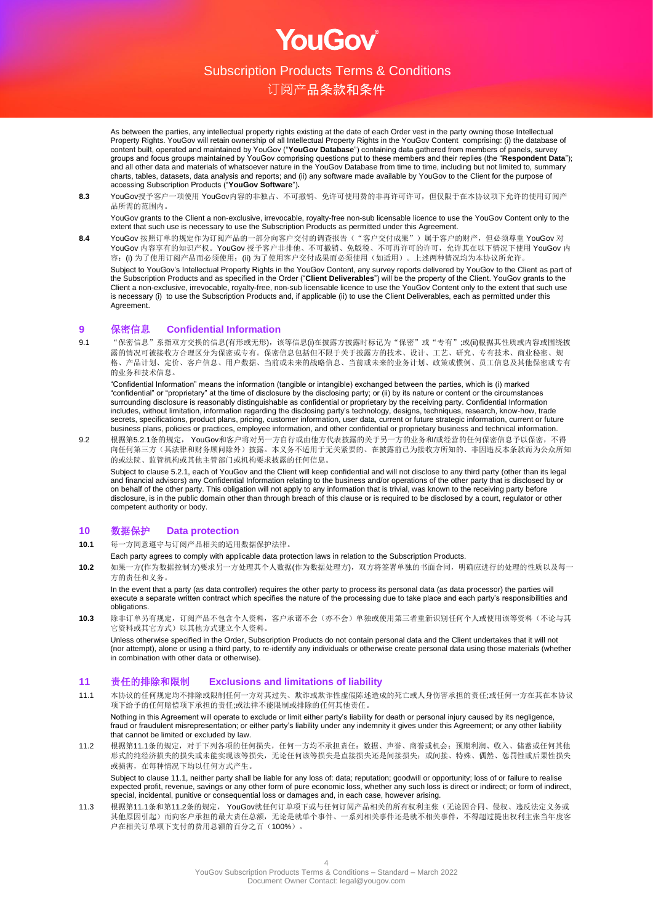OUGOV

订阅产品条款和条件

As between the parties, any intellectual property rights existing at the date of each Order vest in the party owning those Intellectual Property Rights. YouGov will retain ownership of all Intellectual Property Rights in the YouGov Content comprising: (i) the database of content built, operated and maintained by YouGov ("**YouGov Database**") containing data gathered from members of panels, survey groups and focus groups maintained by YouGov comprising questions put to these members and their replies (the "**Respondent Data**"); and all other data and materials of whatsoever nature in the YouGov Database from time to time, including but not limited to, summary charts, tables, datasets, data analysis and reports; and (ii) any software made available by YouGov to the Client for the purpose of accessing Subscription Products ("**YouGov Software**")**.**

**8.3** YouGov授予客户一项使用 YouGov内容的非独占、不可撤销、免许可使用费的非再许可许可,但仅限于在本协议项下允许的使用订阅产 品所需的范围内。

YouGov grants to the Client a non-exclusive, irrevocable, royalty-free non-sub licensable licence to use the YouGov Content only to the extent that such use is necessary to use the Subscription Products as permitted under this Agreement.

8.4 YouGov 按照订单的规定作为订阅产品的一部分向客户交付的调查报告( "客户交付成果")属于客户的财产, 但必须尊重 YouGov 对 YouGov 内容享有的知识产权。YouGov 授予客户非排他、不可撤销、免版税、不可再许可的许可, 允许其在以下情况下使用 YouGov 内 容:(i) 为了使用订阅产品而必须使用;(ii) 为了使用客户交付成果而必须使用(如适用)。上述两种情况均为本协议所允许。 Subject to YouGov's Intellectual Property Rights in the YouGov Content, any survey reports delivered by YouGov to the Client as part of the Subscription Products and as specified in the Order ("**Client Deliverables**") will be the property of the Client. YouGov grants to the Client a non-exclusive, irrevocable, royalty-free, non-sub licensable licence to use the YouGov Content only to the extent that such use is necessary (i) to use the Subscription Products and, if applicable (ii) to use the Client Deliverables, each as permitted under this **Agreement** 

#### **9** 保密信息 **Confidential Information**

9.1 "保密信息"系指双方交换的信息(有形或无形),该等信息(i)在披露方披露时标记为"保密"或"专有";或(ii)根据其性质或内容或围绕披 露的情况可被接收方合理区分为保密或专有。保密信息包括但不限于关于披露方的技术、设计、工艺、研究、专有技术、商业秘密、规 格、产品计划、定价、客户信息、用户数据、当前或未来的战略信息、当前或未来的业务计划、政策或惯例、员工信息及其他保密或专有 的业务和技术信息。

"Confidential Information" means the information (tangible or intangible) exchanged between the parties, which is (i) marked "confidential" or "proprietary" at the time of disclosure by the disclosing party; or (ii) by its nature or content or the circumstances surrounding disclosure is reasonably distinguishable as confidential or proprietary by the receiving party. Confidential Information includes, without limitation, information regarding the disclosing party's technology, designs, techniques, research, know-how, trade secrets, specifications, product plans, pricing, customer information, user data, current or future strategic information, current or future business plans, policies or practices, employee information, and other confidential or proprietary business and technical information.

9.2 根据第5.2.1条的规定, YouGov和客户将对另一方自行或由他方代表披露的关于另一方的业务和/或经营的任何保密信息予以保密,不得 向任何第三方(其法律和财务顾问除外)披露。本义务不适用于无关紧要的、在披露前已为接收方所知的、非因违反本条款而为公众所知 的或法院、监管机构或其他主管部门或机构要求披露的任何信息。

Subject to clause 5.2.1, each of YouGov and the Client will keep confidential and will not disclose to any third party (other than its legal and financial advisors) any Confidential Information relating to the business and/or operations of the other party that is disclosed by or on behalf of the other party. This obligation will not apply to any information that is trivial, was known to the receiving party before disclosure, is in the public domain other than through breach of this clause or is required to be disclosed by a court, regulator or other competent authority or body.

#### **10** 数据保护 **Data protection**

- **10.1** 每一方同意遵守与订阅产品相关的适用数据保护法律。
- Each party agrees to comply with applicable data protection laws in relation to the Subscription Products.

**10.2** 如果一方(作为数据控制方)要求另一方处理其个人数据(作为数据处理方),双方将签署单独的书面合同,明确应进行的处理的性质以及每一 方的责任和义务。

In the event that a party (as data controller) requires the other party to process its personal data (as data processor) the parties will execute a separate written contract which specifies the nature of the processing due to take place and each party's responsibilities and obligations.

**10.3** 除非订单另有规定,订阅产品不包含个人资料,客户承诺不会(亦不会)单独或使用第三者重新识别任何个人或使用该等资料(不论与其 它资料或其它方式)以其他方式建立个人资料。

Unless otherwise specified in the Order, Subscription Products do not contain personal data and the Client undertakes that it will not (nor attempt), alone or using a third party, to re-identify any individuals or otherwise create personal data using those materials (whether in combination with other data or otherwise).

#### **11** 责任的排除和限制 **Exclusions and limitations of liability**

11.1 本协议的任何规定均不排除或限制任何一方对其过失、欺诈或欺诈性虚假陈述造成的死亡或人身伤害承担的责任;或任何一方在其在本协议 项下给予的任何赔偿项下承担的责任;或法律不能限制或排除的任何其他责任。

Nothing in this Agreement will operate to exclude or limit either party's liability for death or personal injury caused by its negligence, fraud or fraudulent misrepresentation; or either party's liability under any indemnity it gives under this Agreement; or any other liability that cannot be limited or excluded by law.

11.2 根据第11.1条的规定,对于下列各项的任何损失,任何一方均不承担责任:数据、声誉、商誉或机会;预期利润、收入、储蓄或任何其他 形式的纯经济损失的损失或未能实现该等损失,无论任何该等损失是直接损失还是间接损失;或间接、特殊、偶然、惩罚性或后果性损失 或损害,在每种情况下均以任何方式产生。

Subject to clause 11.1, neither party shall be liable for any loss of: data; reputation; goodwill or opportunity; loss of or failure to realise expected profit, revenue, savings or any other form of pure economic loss, whether any such loss is direct or indirect; or form of indirect, special, incidental, punitive or consequential loss or damages and, in each case, however arising.

11.3 根据第11.1条和第11.2条的规定, YouGov就任何订单项下或与任何订阅产品相关的所有权利主张(无论因合同、侵权、违反法定义务或 其他原因引起)而向客户承担的最大责任总额,无论是就单个事件、一系列相关事件还是就不相关事件,不得超过提出权利主张当年度客 户在相关订单项下支付的费用总额的百分之百(100%)。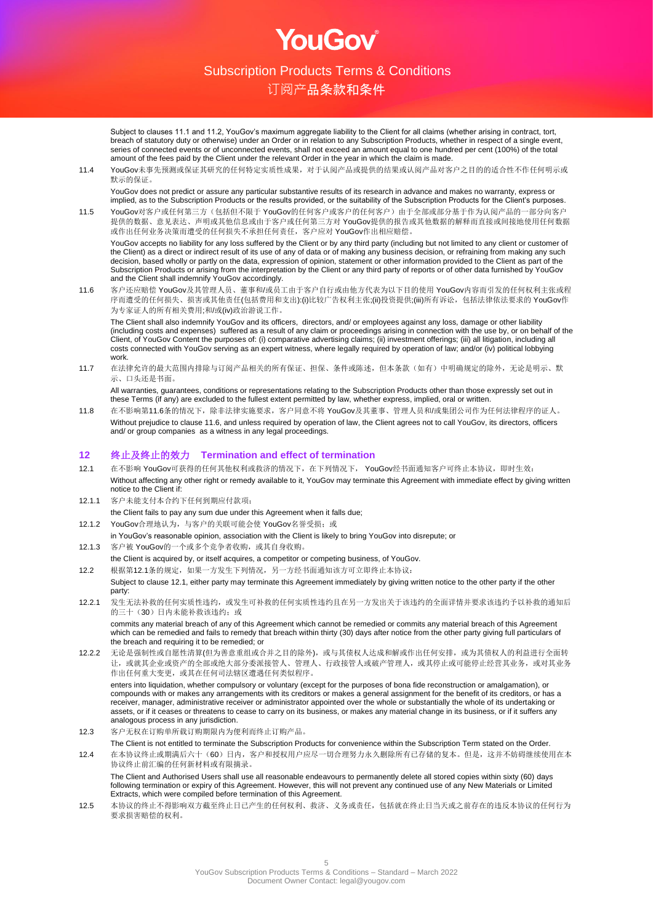OULSOV

订阅产品条款和条件

Subject to clauses 11.1 and 11.2, YouGov's maximum aggregate liability to the Client for all claims (whether arising in contract, tort, breach of statutory duty or otherwise) under an Order or in relation to any Subscription Products, whether in respect of a single event, series of connected events or of unconnected events, shall not exceed an amount equal to one hundred per cent (100%) of the total amount of the fees paid by the Client under the relevant Order in the year in which the claim is made.

11.4 YouGov未事先预测或保证其研究的任何特定实质性成果,对于认阅产品或提供的结果或认阅产品对客户之目的的适合性不作任何明示或 默示的保证。

YouGov does not predict or assure any particular substantive results of its research in advance and makes no warranty, express or implied, as to the Subscription Products or the results provided, or the suitability of the Subscription Products for the Client's purposes.

11.5 YouGov对客户或任何第三方(包括但不限于 YouGov的任何客户或客户的任何客户)由于全部或部分基于作为认阅产品的一部分向客户 提供的数据、意见表达、声明或其他信息或由于客户或任何第三方对 YouGov提供的报告或其他数据的解释而直接或间接地使用任何数据 或作出任何业务决策而遭受的任何损失不承担任何责任,客户应对 YouGov作出相应赔偿。

YouGov accepts no liability for any loss suffered by the Client or by any third party (including but not limited to any client or customer of the Client) as a direct or indirect result of its use of any of data or of making any business decision, or refraining from making any such decision, based wholly or partly on the data, expression of opinion, statement or other information provided to the Client as part of the Subscription Products or arising from the interpretation by the Client or any third party of reports or of other data furnished by YouGov and the Client shall indemnify YouGov accordingly.

11.6 客户还应赔偿 YouGov及其管理人员、董事和/或员工由于客户自行或由他方代表为以下目的使用 YouGov内容而引发的任何权利主张或程 序而遭受的任何损失、损害或其他责任(包括费用和支出):(i)比较广告权利主张;(ii)投资提供;(iii)所有诉讼,包括法律依法要求的 YouGov作 为专家证人的所有相关费用;和/或(iv)政治游说工作。

The Client shall also indemnify YouGov and its officers, directors, and/ or employees against any loss, damage or other liability (including costs and expenses) suffered as a result of any claim or proceedings arising in connection with the use by, or on behalf of the Client, of YouGov Content the purposes of: (i) comparative advertising claims; (ii) investment offerings; (iii) all litigation, including all costs connected with YouGov serving as an expert witness, where legally required by operation of law; and/or (iv) political lobbying work.

11.7 在法律允许的最大范围内排除与订阅产品相关的所有保证、担保、条件或陈述,但本条款(如有)中明确规定的除外,无论是明示、默 示、口头还是书面。

All warranties, guarantees, conditions or representations relating to the Subscription Products other than those expressly set out in these Terms (if any) are excluded to the fullest extent permitted by law, whether express, implied, oral or written.

11.8 在不影响第11.6条的情况下,除非法律实施要求, 客户同意不将 YouGov及其董事、管理人员和/或集团公司作为任何法律程序的证人。 Without prejudice to clause 11.6, and unless required by operation of law, the Client agrees not to call YouGov, its directors, officers and/ or group companies as a witness in any legal proceedings.

#### **12** 终止及终止的效力 **Termination and effect of termination**

- 12.1 在不影响 YouGov可获得的任何其他权利或救济的情况下,在下列情况下, YouGov经书面通知客户可终止本协议,即时生效: Without affecting any other right or remedy available to it, YouGov may terminate this Agreement with immediate effect by giving written notice to the Client if:
- 12.1.1 客户未能支付本合约下任何到期应付款项;
- the Client fails to pay any sum due under this Agreement when it falls due;
- 12.1.2 YouGov合理地认为,与客户的关联可能会使 YouGov名誉受损;或
- in YouGov's reasonable opinion, association with the Client is likely to bring YouGov into disrepute; or

12.1.3 客户被 YouGov的一个或多个竞争者收购,或其自身收购。 the Client is acquired by, or itself acquires, a competitor or competing business, of YouGov.

- 12.2 根据第12.1条的规定,如果一方发生下列情况,另一方经书面通知该方可立即终止本协议: Subject to clause 12.1, either party may terminate this Agreement immediately by giving written notice to the other party if the other party:
- 12.2.1 发生无法补救的任何实质性违约,或发生可补救的任何实质性违约且在另一方发出关于该违约的全面详情并要求该违约予以补救的通知后 的三十(30)日内未能补救该违约;或

commits any material breach of any of this Agreement which cannot be remedied or commits any material breach of this Agreement which can be remedied and fails to remedy that breach within thirty (30) days after notice from the other party giving full particulars of the breach and requiring it to be remedied; or

12.2.2 无论是强制性或自愿性清算(但为善意重组或合并之目的除外),或与其债权人达成和解或作出任何安排,或为其债权人的利益进行全面转 让,或就其企业或资产的全部或绝大部分委派接管人、管理人、行政接管人或破产管理人,或其停止或可能停止经营其业务,或对其业务 作出任何重大变更,或其在任何司法辖区遭遇任何类似程序。

enters into liquidation, whether compulsory or voluntary (except for the purposes of bona fide reconstruction or amalgamation), or compounds with or makes any arrangements with its creditors or makes a general assignment for the benefit of its creditors, or has a receiver, manager, administrative receiver or administrator appointed over the whole or substantially the whole of its undertaking or assets, or if it ceases or threatens to cease to carry on its business, or makes any material change in its business, or if it suffers any analogous process in any jurisdiction.

12.3 客户无权在订购单所载订购期限内为便利而终止订购产品。

The Client is not entitled to terminate the Subscription Products for convenience within the Subscription Term stated on the Order. 12.4 在本协议终止或期满后六十(60)日内,客户和授权用户应尽一切合理努力永久删除所有已存储的复本。但是,这并不妨碍继续使用在本 协议终止前汇编的任何新材料或有限摘录。 The Client and Authorised Users shall use all reasonable endeavours to permanently delete all stored copies within sixty (60) days following termination or expiry of this Agreement. However, this will not prevent any continued use of any New Materials or Limited Extracts, which were compiled before termination of this Agreement.

12.5 本协议的终止不得影响双方截至终止日已产生的任何权利、救济、义务或责任,包括就在终止日当天或之前存在的违反本协议的任何行为 要求损害赔偿的权利。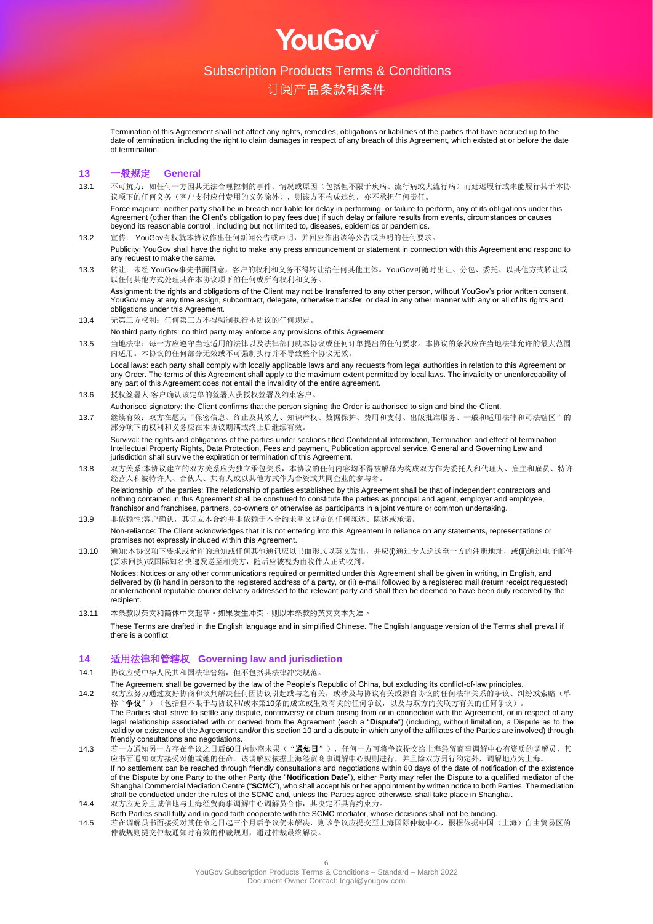OUGOV

## 订阅产品条款和条件

Termination of this Agreement shall not affect any rights, remedies, obligations or liabilities of the parties that have accrued up to the date of termination, including the right to claim damages in respect of any breach of this Agreement, which existed at or before the date of termination.

#### **13** 一般规定 **General**

13.1 不可抗力:如任何一方因其无法合理控制的事件、情况或原因(包括但不限于疾病、流行病或大流行病)而延迟履行或未能履行其于本协 议项下的任何义务(客户支付应付费用的义务除外),则该方不构成违约,亦不承担任何责任。 Force majeure: neither party shall be in breach nor liable for delay in performing, or failure to perform, any of its obligations under this

Agreement (other than the Client's obligation to pay fees due) if such delay or failure results from events, circumstances or causes beyond its reasonable control , including but not limited to, diseases, epidemics or pandemics.

- 13.2 宣传: YouGov有权就本协议作出任何新闻公告或声明,并回应作出该等公告或声明的任何要求。 Publicity: YouGov shall have the right to make any press announcement or statement in connection with this Agreement and respond to any request to make the same.
- 13.3 转让:未经 YouGov事先书面同意,客户的权利和义务不得转让给任何其他主体。YouGov可随时出让、分包、委托、以其他方式转让或 以任何其他方式处理其在本协议项下的任何或所有权利和义务。

Assignment: the rights and obligations of the Client may not be transferred to any other person, without YouGov's prior written consent. YouGov may at any time assign, subcontract, delegate, otherwise transfer, or deal in any other manner with any or all of its rights and obligations under this Agreement.

- 13.4 无第三方权利: 任何第三方不得强制执行本协议的任何规定。
- No third party rights: no third party may enforce any provisions of this Agreement.
- 13.5 当地法律:每一方应遵守当地适用的法律以及法律部门就本协议或任何订单提出的任何要求。本协议的条款应在当地法律允许的最大范围 内适用。本协议的任何部分无效或不可强制执行并不导致整个协议无效。

Local laws: each party shall comply with locally applicable laws and any requests from legal authorities in relation to this Agreement or any Order. The terms of this Agreement shall apply to the maximum extent permitted by local laws. The invalidity or unenforceability of any part of this Agreement does not entail the invalidity of the entire agreement.

13.6 授权签署人:客户确认该定单的签署人获授权签署及约束客户。

Authorised signatory: the Client confirms that the person signing the Order is authorised to sign and bind the Client.

13.7 继续有效:双方在题为"保密信息、终止及其效力、知识产权、数据保护、费用和支付、出版批准服务、一般和适用法律和司法辖区"的 部分项下的权利和义务应在本协议期满或终止后继续有效。

Survival: the rights and obligations of the parties under sections titled Confidential Information, Termination and effect of termination, Intellectual Property Rights, Data Protection, Fees and payment, Publication approval service, General and Governing Law and jurisdiction shall survive the expiration or termination of this Agreement.

- 13.8 双方关系:本协议建立的双方关系应为独立承包关系,本协议的任何内容均不得被解释为构成双方作为委托人和代理人、雇主和雇员、特许 经营人和被特许人、合伙人、共有人或以其他方式作为合资或共同企业的参与者。 Relationship of the parties: The relationship of parties established by this Agreement shall be that of independent contractors and nothing contained in this Agreement shall be construed to constitute the parties as principal and agent, employer and employee, franchisor and franchisee, partners, co-owners or otherwise as participants in a joint venture or common undertaking.
- 13.9 非依赖性:客户确认,其订立本合约并非依赖于本合约未明文规定的任何陈述、陈述或承诺。 Non-reliance: The Client acknowledges that it is not entering into this Agreement in reliance on any statements, representations or promises not expressly included within this Agreement.
- 13.10 通知:本协议项下要求或允许的通知或任何其他通讯应以书面形式以英文发出,并应(i)通过专人递送至一方的注册地址,或(ii)通过电子邮件 (要求回执)或国际知名快递发送至相关方,随后应被视为由收件人正式收到。 Notices: Notices or any other communications required or permitted under this Agreement shall be given in writing, in English, and delivered by (i) hand in person to the registered address of a party, or (ii) e-mail followed by a registered mail (return receipt requested) or international reputable courier delivery addressed to the relevant party and shall then be deemed to have been duly received by the recipient.
- 13.11 本条款以英文和简体中文起草。如果发生冲突,则以本条款的英文文本为准。

These Terms are drafted in the English language and in simplified Chinese. The English language version of the Terms shall prevail if there is a conflict

#### **14** 适用法律和管辖权 **Governing law and jurisdiction**

14.1 协议应受中华人民共和国法律管辖,但不包括其法律冲突规范。

- The Agreement shall be governed by the law of the People's Republic of China, but excluding its conflict-of-law principles.
- 14.2 双方应努力通过友好协商和谈判解决任何因协议引起或与之有关,或涉及与协议有关或源自协议的任何法律关系的争议、纠纷或索赔(单 称"争议")(包括但不限于与协议和/或本第10条的成立或生效有关的任何争议,以及与双方的关联方有关的任何争议)。 The Parties shall strive to settle any dispute, controversy or claim arising from or in connection with the Agreement, or in respect of any legal relationship associated with or derived from the Agreement (each a "**Dispute**") (including, without limitation, a Dispute as to the validity or existence of the Agreement and/or this section 10 and a dispute in which any of the affiliates of the Parties are involved) through friendly consultations and negotiations.
- 14.3 若一方通知另一方存在争议之日后60日内协商未果("**通知日**"),任何一方可将争议提交给上海经贸商事调解中心有资质的调解员,其 应书面通知双方接受对他或她的任命。该调解应依据上海经贸商事调解中心规则进行,并且除双方另行约定外,调解地点为上海。 If no settlement can be reached through friendly consultations and negotiations within 60 days of the date of notification of the existence of the Dispute by one Party to the other Party (the "**Notification Date**"), either Party may refer the Dispute to a qualified mediator of the Shanghai Commercial Mediation Centre ("**SCMC**"), who shall accept his or her appointment by written notice to both Parties. The mediation shall be conducted under the rules of the SCMC and, unless the Parties agree otherwise, shall take place in Shanghai.
- 14.4 双方应充分且诚信地与上海经贸商事调解中心调解员合作,其决定不具有约束力。
- Both Parties shall fully and in good faith cooperate with the SCMC mediator, whose decisions shall not be binding. 14.5 若在调解员书面接受对其任命之日起三个月后争议仍未解决,则该争议应提交至上海国际仲裁中心,根据依据中国(上海)自由贸易区的 仲裁规则提交仲裁通知时有效的仲裁规则,通过仲裁最终解决。